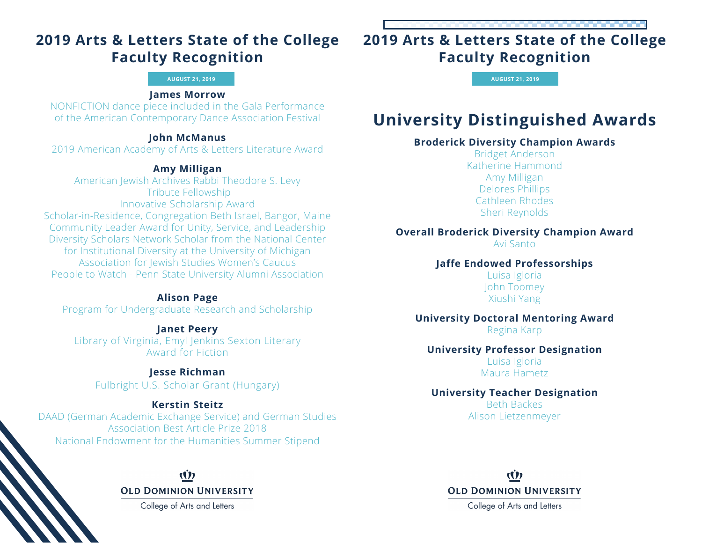# **2019 Arts & Letters State of the College Faculty Recognition**

#### **AUGUST 21, 2019**

### **James Morrow**

NONFICTION dance piece included in the Gala Performance of the American Contemporary Dance Association Festival

### **John McManus**

2019 American Academy of Arts & Letters Literature Award

### **Amy Milligan**

American Jewish Archives Rabbi Theodore S. Levy Tribute Fellowship Innovative Scholarship Award Scholar-in-Residence, Congregation Beth Israel, Bangor, Maine Community Leader Award for Unity, Service, and Leadership Diversity Scholars Network Scholar from the National Center for Institutional Diversity at the University of Michigan Association for Jewish Studies Women's Caucus People to Watch - Penn State University Alumni Association

## **Alison Page**

Program for Undergraduate Research and Scholarship

**Janet Peery** Library of Virginia, Emyl Jenkins Sexton Literary Award for Fiction

## **Jesse Richman**

Fulbright U.S. Scholar Grant (Hungary)

## **Kerstin Steitz**

DAAD (German Academic Exchange Service) and German Studies Association Best Article Prize 2018 National Endowment for the Humanities Summer Stipend

## (İ) **OLD DOMINION UNIVERSITY**

College of Arts and Letters

# **2019 Arts & Letters State of the College Faculty Recognition**

**AUGUST 21, 2019**

# **University Distinguished Awards**

## **Broderick Diversity Champion Awards**

Bridget Anderson Katherine Hammond Amy Milligan Delores Phillips Cathleen Rhodes Sheri Reynolds

## **Overall Broderick Diversity Champion Award**

Avi Santo

## **Jaffe Endowed Professorships**

Luisa Igloria John Toomey Xiushi Yang

### **University Doctoral Mentoring Award** Regina Karp

## **University Professor Designation**

Luisa Igloria Maura Hametz

## **University Teacher Designation**

Beth Backes Alison Lietzenmeyer

(İ) **OLD DOMINION UNIVERSITY** 

College of Arts and Letters